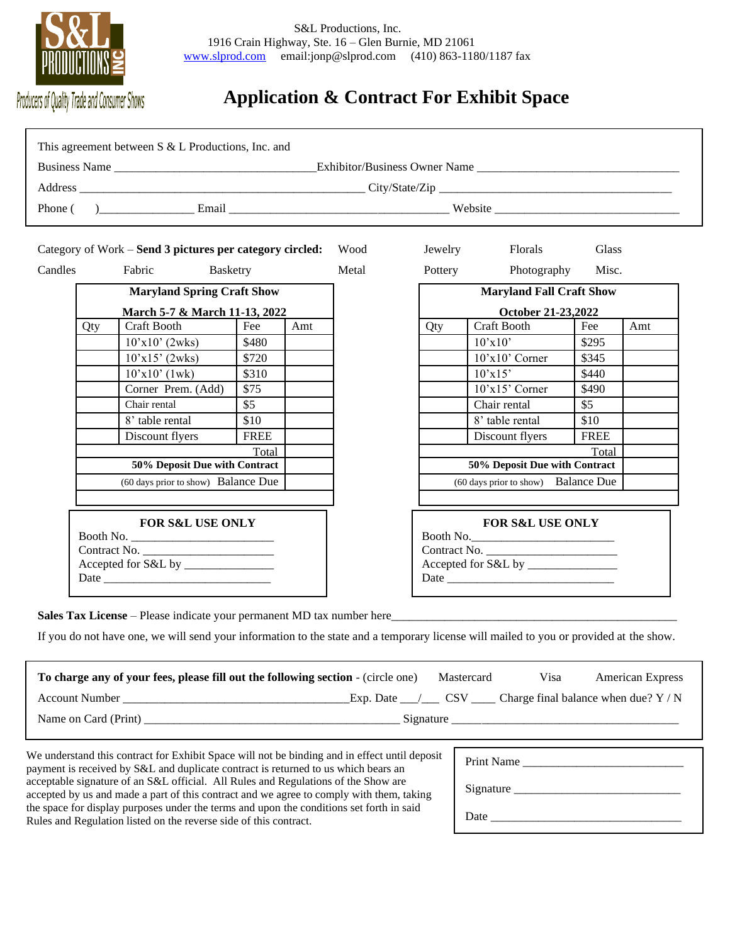

# **Application & Contract For Exhibit Space**

| Qty                                         | Category of Work - Send 3 pictures per category circled:<br>Fabric<br><b>Basketry</b><br><b>Maryland Spring Craft Show</b><br><b>Craft Booth</b><br>$10'x10'$ (2wks)<br>$10'x15'$ (2wks)                        |             |                                                     | Wood<br>Metal | Jewelry                             |                                             |             |     |  |
|---------------------------------------------|-----------------------------------------------------------------------------------------------------------------------------------------------------------------------------------------------------------------|-------------|-----------------------------------------------------|---------------|-------------------------------------|---------------------------------------------|-------------|-----|--|
| Candles                                     |                                                                                                                                                                                                                 |             |                                                     |               |                                     |                                             |             |     |  |
|                                             |                                                                                                                                                                                                                 |             |                                                     |               |                                     |                                             |             |     |  |
|                                             |                                                                                                                                                                                                                 |             |                                                     |               |                                     | Florals                                     | Glass       |     |  |
|                                             |                                                                                                                                                                                                                 |             |                                                     |               | Pottery                             | Photography                                 | Misc.       |     |  |
|                                             |                                                                                                                                                                                                                 |             |                                                     |               |                                     | <b>Maryland Fall Craft Show</b>             |             |     |  |
|                                             |                                                                                                                                                                                                                 |             | March 5-7 & March 11-13, 2022<br>October 21-23,2022 |               |                                     |                                             |             |     |  |
|                                             |                                                                                                                                                                                                                 | Fee         | Amt                                                 |               | Qty                                 | <b>Craft Booth</b>                          | Fee         | Amt |  |
|                                             |                                                                                                                                                                                                                 | \$480       |                                                     |               |                                     | 10'x10'                                     | \$295       |     |  |
|                                             |                                                                                                                                                                                                                 | \$720       |                                                     |               |                                     | $10'x10'$ Corner                            | \$345       |     |  |
|                                             | $10'x10'$ (1wk)                                                                                                                                                                                                 | \$310       |                                                     |               |                                     | 10'x15'                                     | \$440       |     |  |
|                                             | Corner Prem. (Add)                                                                                                                                                                                              | \$75        |                                                     |               |                                     | $10'x15'$ Corner                            | \$490       |     |  |
|                                             | Chair rental                                                                                                                                                                                                    | \$5         |                                                     |               |                                     | Chair rental                                | \$5         |     |  |
|                                             | 8' table rental                                                                                                                                                                                                 | \$10        |                                                     |               |                                     | 8' table rental                             | \$10        |     |  |
|                                             | Discount flyers                                                                                                                                                                                                 | <b>FREE</b> |                                                     |               |                                     | Discount flyers                             | <b>FREE</b> |     |  |
|                                             | Total<br>50% Deposit Due with Contract<br>(60 days prior to show) Balance Due                                                                                                                                   |             |                                                     |               |                                     | Total<br>50% Deposit Due with Contract      |             |     |  |
|                                             |                                                                                                                                                                                                                 |             |                                                     |               | (60 days prior to show) Balance Due |                                             |             |     |  |
|                                             |                                                                                                                                                                                                                 |             |                                                     |               |                                     |                                             |             |     |  |
| <b>FOR S&amp;L USE ONLY</b><br>Contract No. |                                                                                                                                                                                                                 |             |                                                     |               |                                     | <b>FOR S&amp;L USE ONLY</b><br>Contract No. |             |     |  |
|                                             | Sales Tax License – Please indicate your permanent MD tax number here<br>If you do not have one, we will send your information to the state and a temporary license will mailed to you or provided at the show. |             |                                                     |               |                                     |                                             |             |     |  |

| To charge any of your fees, please fill out the following section - (circle one) |           | Mastercard | Visa | <b>American Express</b>                |  |  |  |
|----------------------------------------------------------------------------------|-----------|------------|------|----------------------------------------|--|--|--|
| <b>Account Number</b>                                                            | Exp. Date | CS V       |      | Charge final balance when due? $Y / N$ |  |  |  |
| Name on Card (Print)<br>Signature                                                |           |            |      |                                        |  |  |  |

We understand this contract for Exhibit Space will not be binding and in effect until deposit payment is received by S&L and duplicate contract is returned to us which bears an acceptable signature of an S&L official. All Rules and Regulations of the Show are accepted by us and made a part of this contract and we agree to comply with them, taking the space for display purposes under the terms and upon the conditions set forth in said Rules and Regulation listed on the reverse side of this contract.

| <b>Print Name</b> |  |
|-------------------|--|
| Signature         |  |
| Date              |  |